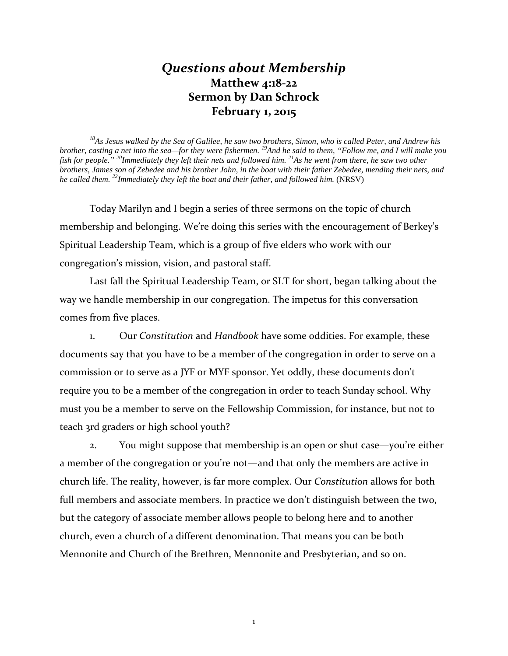## *Questions about Membership* **Matthew 4:18-22 Sermon by Dan Schrock February 1, 2015**

*18As Jesus walked by the Sea of Galilee, he saw two brothers, Simon, who is called Peter, and Andrew his brother, casting a net into the sea—for they were fishermen. 19And he said to them, "Follow me, and I will make you fish for people." 20Immediately they left their nets and followed him. 21As he went from there, he saw two other brothers, James son of Zebedee and his brother John, in the boat with their father Zebedee, mending their nets, and he called them. 22Immediately they left the boat and their father, and followed him.* (NRSV)

Today Marilyn and I begin a series of three sermons on the topic of church membership and belonging. We're doing this series with the encouragement of Berkey's Spiritual Leadership Team, which is a group of five elders who work with our congregation's mission, vision, and pastoral staff.

Last fall the Spiritual Leadership Team, or SLT for short, began talking about the way we handle membership in our congregation. The impetus for this conversation comes from five places.

1. Our *Constitution* and *Handbook* have some oddities. For example, these documents say that you have to be a member of the congregation in order to serve on a commission or to serve as a JYF or MYF sponsor. Yet oddly, these documents don't require you to be a member of the congregation in order to teach Sunday school. Why must you be a member to serve on the Fellowship Commission, for instance, but not to teach 3rd graders or high school youth?

2. You might suppose that membership is an open or shut case—you're either a member of the congregation or you're not—and that only the members are active in church life. The reality, however, is far more complex. Our *Constitution* allows for both full members and associate members. In practice we don't distinguish between the two, but the category of associate member allows people to belong here and to another church, even a church of a different denomination. That means you can be both Mennonite and Church of the Brethren, Mennonite and Presbyterian, and so on.

1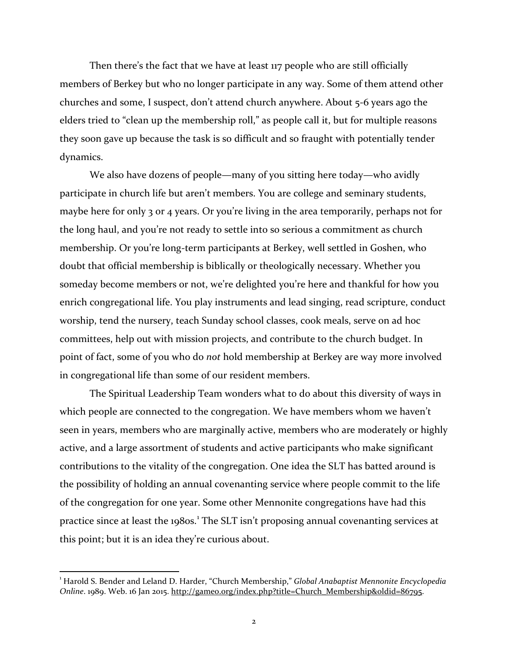Then there's the fact that we have at least 117 people who are still officially members of Berkey but who no longer participate in any way. Some of them attend other churches and some, I suspect, don't attend church anywhere. About 5-6 years ago the elders tried to "clean up the membership roll," as people call it, but for multiple reasons they soon gave up because the task is so difficult and so fraught with potentially tender dynamics.

We also have dozens of people—many of you sitting here today—who avidly participate in church life but aren't members. You are college and seminary students, maybe here for only 3 or 4 years. Or you're living in the area temporarily, perhaps not for the long haul, and you're not ready to settle into so serious a commitment as church membership. Or you're long-term participants at Berkey, well settled in Goshen, who doubt that official membership is biblically or theologically necessary. Whether you someday become members or not, we're delighted you're here and thankful for how you enrich congregational life. You play instruments and lead singing, read scripture, conduct worship, tend the nursery, teach Sunday school classes, cook meals, serve on ad hoc committees, help out with mission projects, and contribute to the church budget. In point of fact, some of you who do *not* hold membership at Berkey are way more involved in congregational life than some of our resident members.

The Spiritual Leadership Team wonders what to do about this diversity of ways in which people are connected to the congregation. We have members whom we haven't seen in years, members who are marginally active, members who are moderately or highly active, and a large assortment of students and active participants who make significant contributions to the vitality of the congregation. One idea the SLT has batted around is the possibility of holding an annual covenanting service where people commit to the life of the congregation for one year. Some other Mennonite congregations have had this practice since at least the [1](#page-1-0)980s.<sup>1</sup> The SLT isn't proposing annual covenanting services at this point; but it is an idea they're curious about.

<span id="page-1-0"></span><sup>|&</sup>lt;br>1 Harold S. Bender and Leland D. Harder, "Church Membership," *Global Anabaptist Mennonite Encyclopedia Online*. 1989. Web. 16 Jan 2015. [http://gameo.org/index.php?title=Church\\_Membership&oldid=86795.](http://gameo.org/index.php?title=Church_Membership&oldid=86795)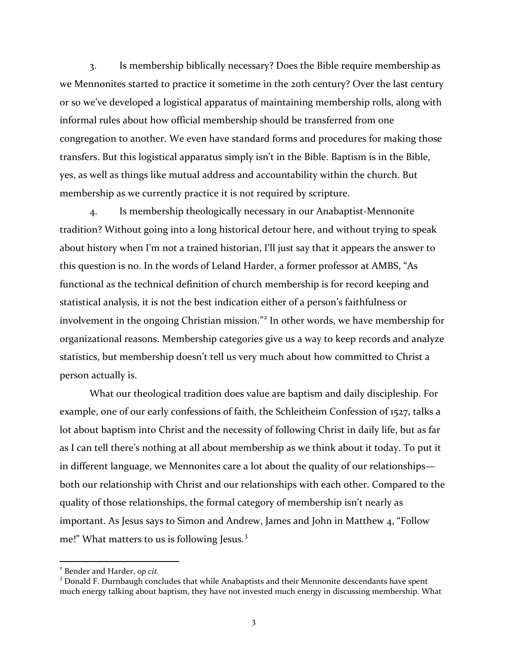3. Is membership biblically necessary? Does the Bible require membership as we Mennonites started to practice it sometime in the 20th century? Over the last century or so we've developed a logistical apparatus of maintaining membership rolls, along with informal rules about how official membership should be transferred from one congregation to another. We even have standard forms and procedures for making those transfers. But this logistical apparatus simply isn't in the Bible. Baptism is in the Bible, yes, as well as things like mutual address and accountability within the church. But membership as we currently practice it is not required by scripture.

4. Is membership theologically necessary in our Anabaptist-Mennonite tradition? Without going into a long historical detour here, and without trying to speak about history when I'm not a trained historian, I'll just say that it appears the answer to this question is no. In the words of Leland Harder, a former professor at AMBS, "As functional as the technical definition of church membership is for record keeping and statistical analysis, it is not the best indication either of a person's faithfulness or involvement in the ongoing Christian mission."<sup>[2](#page-2-0)</sup> In other words, we have membership for organizational reasons. Membership categories give us a way to keep records and analyze statistics, but membership doesn't tell us very much about how committed to Christ a person actually is.

What our theological tradition does value are baptism and daily discipleship. For example, one of our early confessions of faith, the Schleitheim Confession of 1527, talks a lot about baptism into Christ and the necessity of following Christ in daily life, but as far as I can tell there's nothing at all about membership as we think about it today. To put it in different language, we Mennonites care a lot about the quality of our relationships both our relationship with Christ and our relationships with each other. Compared to the quality of those relationships, the formal category of membership isn't nearly as important. As Jesus says to Simon and Andrew, James and John in Matthew 4, "Follow me!" What matters to us is following Jesus.<sup>[3](#page-2-1)</sup>

<span id="page-2-0"></span><sup>2</sup> Bender and Harder, *op cit.*

<span id="page-2-1"></span><sup>&</sup>lt;sup>3</sup> Donald F. Durnbaugh concludes that while Anabaptists and their Mennonite descendants have spent much energy talking about baptism, they have not invested much energy in discussing membership. What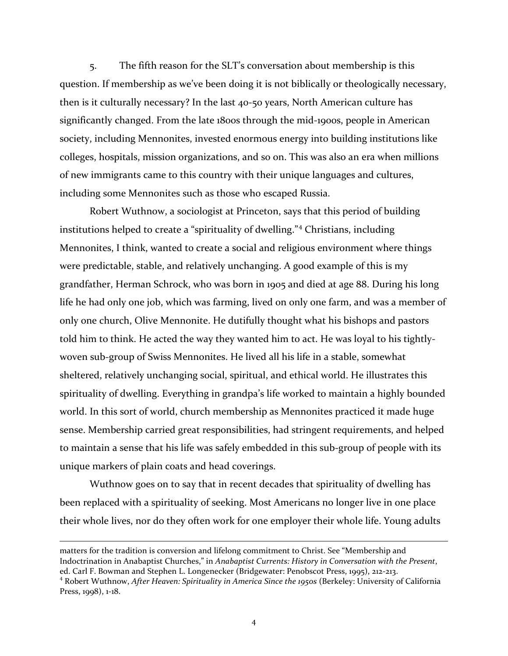5. The fifth reason for the SLT's conversation about membership is this question. If membership as we've been doing it is not biblically or theologically necessary, then is it culturally necessary? In the last 40-50 years, North American culture has significantly changed. From the late 1800s through the mid-1900s, people in American society, including Mennonites, invested enormous energy into building institutions like colleges, hospitals, mission organizations, and so on. This was also an era when millions of new immigrants came to this country with their unique languages and cultures, including some Mennonites such as those who escaped Russia.

Robert Wuthnow, a sociologist at Princeton, says that this period of building institutions helped to create a "spirituality of dwelling."[4](#page-3-0) Christians, including Mennonites, I think, wanted to create a social and religious environment where things were predictable, stable, and relatively unchanging. A good example of this is my grandfather, Herman Schrock, who was born in 1905 and died at age 88. During his long life he had only one job, which was farming, lived on only one farm, and was a member of only one church, Olive Mennonite. He dutifully thought what his bishops and pastors told him to think. He acted the way they wanted him to act. He was loyal to his tightlywoven sub-group of Swiss Mennonites. He lived all his life in a stable, somewhat sheltered, relatively unchanging social, spiritual, and ethical world. He illustrates this spirituality of dwelling. Everything in grandpa's life worked to maintain a highly bounded world. In this sort of world, church membership as Mennonites practiced it made huge sense. Membership carried great responsibilities, had stringent requirements, and helped to maintain a sense that his life was safely embedded in this sub-group of people with its unique markers of plain coats and head coverings.

Wuthnow goes on to say that in recent decades that spirituality of dwelling has been replaced with a spirituality of seeking. Most Americans no longer live in one place their whole lives, nor do they often work for one employer their whole life. Young adults

 $\overline{\phantom{a}}$ 

matters for the tradition is conversion and lifelong commitment to Christ. See "Membership and Indoctrination in Anabaptist Churches," in *Anabaptist Currents: History in Conversation with the Present*, ed. Carl F. Bowman and Stephen L. Longenecker (Bridgewater: Penobscot Press, 1995), 212-213.

<span id="page-3-0"></span><sup>4</sup> Robert Wuthnow, *After Heaven: Spirituality in America Since the 1950s* (Berkeley: University of California Press, 1998), 1-18.